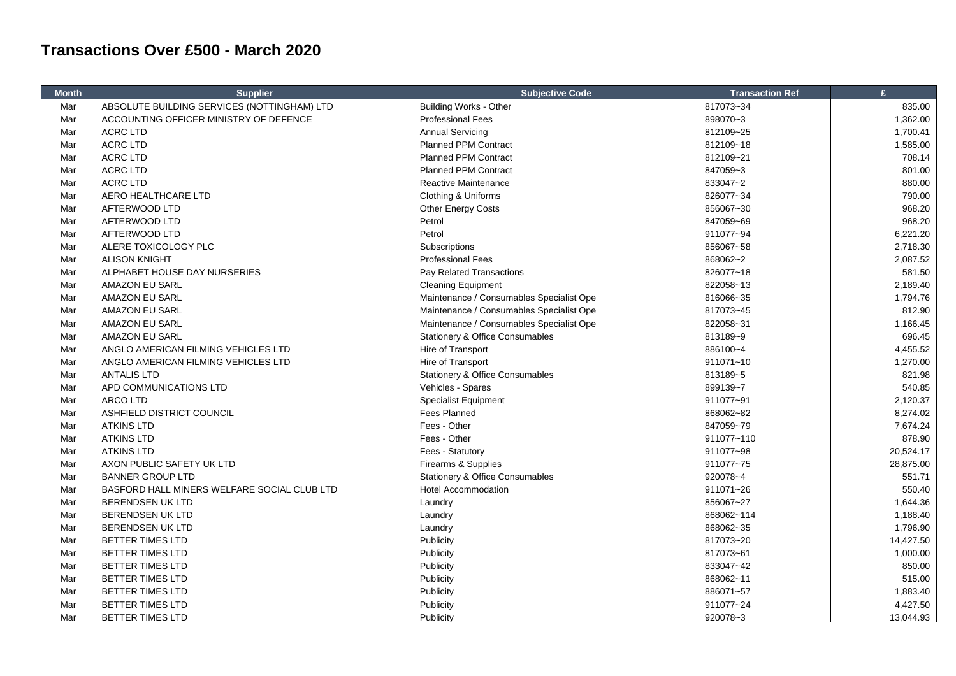## **Transactions Over £500 - March 2020**

| <b>Month</b> | <b>Supplier</b>                             | <b>Subjective Code</b>                     | <b>Transaction Ref</b> | £         |
|--------------|---------------------------------------------|--------------------------------------------|------------------------|-----------|
| Mar          | ABSOLUTE BUILDING SERVICES (NOTTINGHAM) LTD | <b>Building Works - Other</b>              | 817073~34              | 835.00    |
| Mar          | ACCOUNTING OFFICER MINISTRY OF DEFENCE      | <b>Professional Fees</b>                   | 898070~3               | 1,362.00  |
| Mar          | <b>ACRC LTD</b>                             | <b>Annual Servicing</b>                    | 812109~25              | 1,700.41  |
| Mar          | <b>ACRC LTD</b>                             | Planned PPM Contract                       | 812109~18              | 1,585.00  |
| Mar          | <b>ACRC LTD</b>                             | <b>Planned PPM Contract</b>                | 812109~21              | 708.14    |
| Mar          | <b>ACRC LTD</b>                             | <b>Planned PPM Contract</b>                | 847059~3               | 801.00    |
| Mar          | <b>ACRC LTD</b>                             | Reactive Maintenance                       | 833047~2               | 880.00    |
| Mar          | AERO HEALTHCARE LTD                         | Clothing & Uniforms                        | 826077~34              | 790.00    |
| Mar          | AFTERWOOD LTD                               | Other Energy Costs                         | 856067~30              | 968.20    |
| Mar          | AFTERWOOD LTD                               | Petrol                                     | 847059~69              | 968.20    |
| Mar          | AFTERWOOD LTD                               | Petrol                                     | 911077~94              | 6,221.20  |
| Mar          | ALERE TOXICOLOGY PLC                        | Subscriptions                              | 856067~58              | 2,718.30  |
| Mar          | <b>ALISON KNIGHT</b>                        | <b>Professional Fees</b>                   | 868062~2               | 2,087.52  |
| Mar          | ALPHABET HOUSE DAY NURSERIES                | Pay Related Transactions                   | 826077~18              | 581.50    |
| Mar          | <b>AMAZON EU SARL</b>                       | <b>Cleaning Equipment</b>                  | 822058~13              | 2,189.40  |
| Mar          | AMAZON EU SARL                              | Maintenance / Consumables Specialist Ope   | 816066~35              | 1,794.76  |
| Mar          | <b>AMAZON EU SARL</b>                       | Maintenance / Consumables Specialist Ope   | 817073~45              | 812.90    |
| Mar          | AMAZON EU SARL                              | Maintenance / Consumables Specialist Ope   | 822058~31              | 1,166.45  |
| Mar          | AMAZON EU SARL                              | <b>Stationery &amp; Office Consumables</b> | 813189~9               | 696.45    |
| Mar          | ANGLO AMERICAN FILMING VEHICLES LTD         | Hire of Transport                          | 886100~4               | 4,455.52  |
| Mar          | ANGLO AMERICAN FILMING VEHICLES LTD         | Hire of Transport                          | 911071~10              | 1,270.00  |
| Mar          | <b>ANTALIS LTD</b>                          | <b>Stationery &amp; Office Consumables</b> | 813189~5               | 821.98    |
| Mar          | APD COMMUNICATIONS LTD                      | Vehicles - Spares                          | 899139~7               | 540.85    |
| Mar          | <b>ARCOLTD</b>                              | <b>Specialist Equipment</b>                | 911077~91              | 2,120.37  |
| Mar          | ASHFIELD DISTRICT COUNCIL                   | <b>Fees Planned</b>                        | 868062~82              | 8,274.02  |
| Mar          | <b>ATKINS LTD</b>                           | Fees - Other                               | 847059~79              | 7,674.24  |
| Mar          | <b>ATKINS LTD</b>                           | Fees - Other                               | 911077~110             | 878.90    |
| Mar          | <b>ATKINS LTD</b>                           | Fees - Statutory                           | 911077~98              | 20,524.17 |
| Mar          | AXON PUBLIC SAFETY UK LTD                   | Firearms & Supplies                        | 911077~75              | 28,875.00 |
| Mar          | <b>BANNER GROUP LTD</b>                     | <b>Stationery &amp; Office Consumables</b> | 920078~4               | 551.71    |
| Mar          | BASFORD HALL MINERS WELFARE SOCIAL CLUB LTD | <b>Hotel Accommodation</b>                 | 911071~26              | 550.40    |
| Mar          | BERENDSEN UK LTD                            | Laundry                                    | 856067~27              | 1,644.36  |
| Mar          | <b>BERENDSEN UK LTD</b>                     | Laundry                                    | 868062~114             | 1,188.40  |
| Mar          | <b>BERENDSEN UK LTD</b>                     | Laundry                                    | 868062~35              | 1,796.90  |
| Mar          | <b>BETTER TIMES LTD</b>                     | Publicity                                  | 817073~20              | 14,427.50 |
| Mar          | <b>BETTER TIMES LTD</b>                     | Publicity                                  | 817073~61              | 1,000.00  |
| Mar          | BETTER TIMES LTD                            | Publicity                                  | 833047~42              | 850.00    |
| Mar          | <b>BETTER TIMES LTD</b>                     | Publicity                                  | 868062~11              | 515.00    |
| Mar          | <b>BETTER TIMES LTD</b>                     | Publicity                                  | 886071~57              | 1,883.40  |
| Mar          | <b>BETTER TIMES LTD</b>                     | Publicity                                  | 911077~24              | 4,427.50  |
| Mar          | BETTER TIMES LTD                            | Publicity                                  | 920078~3               | 13,044.93 |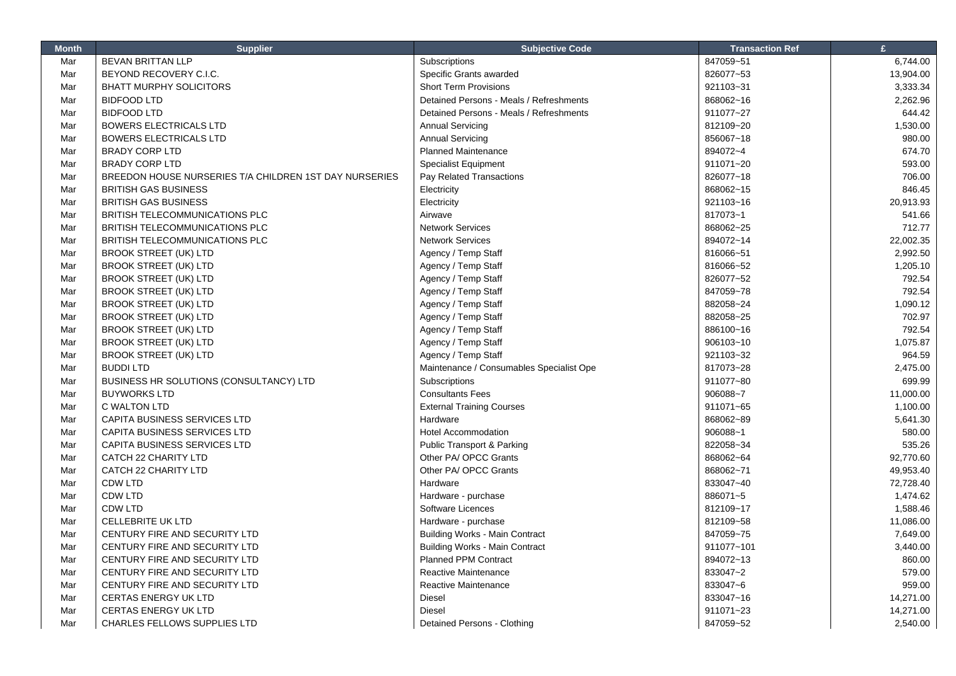| <b>Month</b> | <b>Supplier</b>                                        | <b>Subjective Code</b>                   | <b>Transaction Ref</b> | $\mathbf{f}$ |
|--------------|--------------------------------------------------------|------------------------------------------|------------------------|--------------|
| Mar          | <b>BEVAN BRITTAN LLP</b>                               | Subscriptions                            | 847059~51              | 6,744.00     |
| Mar          | BEYOND RECOVERY C.I.C.                                 | Specific Grants awarded                  | 826077~53              | 13,904.00    |
| Mar          | <b>BHATT MURPHY SOLICITORS</b>                         | <b>Short Term Provisions</b>             | 921103~31              | 3,333.34     |
| Mar          | <b>BIDFOOD LTD</b>                                     | Detained Persons - Meals / Refreshments  | 868062~16              | 2,262.96     |
| Mar          | <b>BIDFOOD LTD</b>                                     | Detained Persons - Meals / Refreshments  | 911077~27              | 644.42       |
| Mar          | <b>BOWERS ELECTRICALS LTD</b>                          | <b>Annual Servicing</b>                  | 812109~20              | 1,530.00     |
| Mar          | <b>BOWERS ELECTRICALS LTD</b>                          | <b>Annual Servicing</b>                  | 856067~18              | 980.00       |
| Mar          | <b>BRADY CORP LTD</b>                                  | <b>Planned Maintenance</b>               | 894072~4               | 674.70       |
| Mar          | <b>BRADY CORP LTD</b>                                  | <b>Specialist Equipment</b>              | 911071~20              | 593.00       |
| Mar          | BREEDON HOUSE NURSERIES T/A CHILDREN 1ST DAY NURSERIES | Pay Related Transactions                 | 826077~18              | 706.00       |
| Mar          | <b>BRITISH GAS BUSINESS</b>                            | Electricity                              | 868062~15              | 846.45       |
| Mar          | <b>BRITISH GAS BUSINESS</b>                            | Electricity                              | 921103~16              | 20,913.93    |
| Mar          | BRITISH TELECOMMUNICATIONS PLC                         | Airwave                                  | 817073~1               | 541.66       |
| Mar          | BRITISH TELECOMMUNICATIONS PLC                         | <b>Network Services</b>                  | 868062~25              | 712.77       |
| Mar          | BRITISH TELECOMMUNICATIONS PLC                         | <b>Network Services</b>                  | 894072~14              | 22,002.35    |
| Mar          | <b>BROOK STREET (UK) LTD</b>                           | Agency / Temp Staff                      | 816066~51              | 2,992.50     |
| Mar          | <b>BROOK STREET (UK) LTD</b>                           | Agency / Temp Staff                      | 816066~52              | 1,205.10     |
| Mar          | <b>BROOK STREET (UK) LTD</b>                           | Agency / Temp Staff                      | 826077~52              | 792.54       |
| Mar          | <b>BROOK STREET (UK) LTD</b>                           | Agency / Temp Staff                      | 847059~78              | 792.54       |
| Mar          | <b>BROOK STREET (UK) LTD</b>                           | Agency / Temp Staff                      | 882058~24              | 1,090.12     |
| Mar          | <b>BROOK STREET (UK) LTD</b>                           | Agency / Temp Staff                      | 882058~25              | 702.97       |
| Mar          | <b>BROOK STREET (UK) LTD</b>                           | Agency / Temp Staff                      | 886100~16              | 792.54       |
| Mar          | <b>BROOK STREET (UK) LTD</b>                           | Agency / Temp Staff                      | 906103~10              | 1,075.87     |
| Mar          | <b>BROOK STREET (UK) LTD</b>                           | Agency / Temp Staff                      | 921103~32              | 964.59       |
| Mar          | <b>BUDDILTD</b>                                        | Maintenance / Consumables Specialist Ope | 817073~28              | 2,475.00     |
| Mar          | BUSINESS HR SOLUTIONS (CONSULTANCY) LTD                | Subscriptions                            | 911077~80              | 699.99       |
| Mar          | <b>BUYWORKS LTD</b>                                    | <b>Consultants Fees</b>                  | 906088~7               | 11,000.00    |
| Mar          | C WALTON LTD                                           | <b>External Training Courses</b>         | 911071~65              | 1,100.00     |
| Mar          | CAPITA BUSINESS SERVICES LTD                           | Hardware                                 | 868062~89              | 5,641.30     |
| Mar          | <b>CAPITA BUSINESS SERVICES LTD</b>                    | <b>Hotel Accommodation</b>               | 906088~1               | 580.00       |
| Mar          | <b>CAPITA BUSINESS SERVICES LTD</b>                    | Public Transport & Parking               | 822058~34              | 535.26       |
| Mar          | <b>CATCH 22 CHARITY LTD</b>                            | Other PA/ OPCC Grants                    | 868062~64              | 92.770.60    |
| Mar          | CATCH 22 CHARITY LTD                                   | Other PA/ OPCC Grants                    | 868062~71              | 49,953.40    |
| Mar          | <b>CDW LTD</b>                                         | Hardware                                 | 833047~40              | 72,728.40    |
| Mar          | <b>CDW LTD</b>                                         | Hardware - purchase                      | 886071~5               | 1,474.62     |
| Mar          | <b>CDW LTD</b>                                         | Software Licences                        | 812109~17              | 1,588.46     |
| Mar          | <b>CELLEBRITE UK LTD</b>                               | Hardware - purchase                      | 812109~58              | 11,086.00    |
| Mar          | CENTURY FIRE AND SECURITY LTD                          | <b>Building Works - Main Contract</b>    | 847059~75              | 7,649.00     |
| Mar          | CENTURY FIRE AND SECURITY LTD                          | <b>Building Works - Main Contract</b>    | 911077~101             | 3,440.00     |
| Mar          | CENTURY FIRE AND SECURITY LTD                          | <b>Planned PPM Contract</b>              | 894072~13              | 860.00       |
| Mar          | CENTURY FIRE AND SECURITY LTD                          | Reactive Maintenance                     | 833047~2               | 579.00       |
| Mar          | CENTURY FIRE AND SECURITY LTD                          | Reactive Maintenance                     | 833047~6               | 959.00       |
| Mar          | <b>CERTAS ENERGY UK LTD</b>                            | <b>Diesel</b>                            | 833047~16              | 14,271.00    |
| Mar          | <b>CERTAS ENERGY UK LTD</b>                            | <b>Diesel</b>                            | 911071~23              | 14,271.00    |
| Mar          | <b>CHARLES FELLOWS SUPPLIES LTD</b>                    | Detained Persons - Clothing              | 847059~52              | 2,540.00     |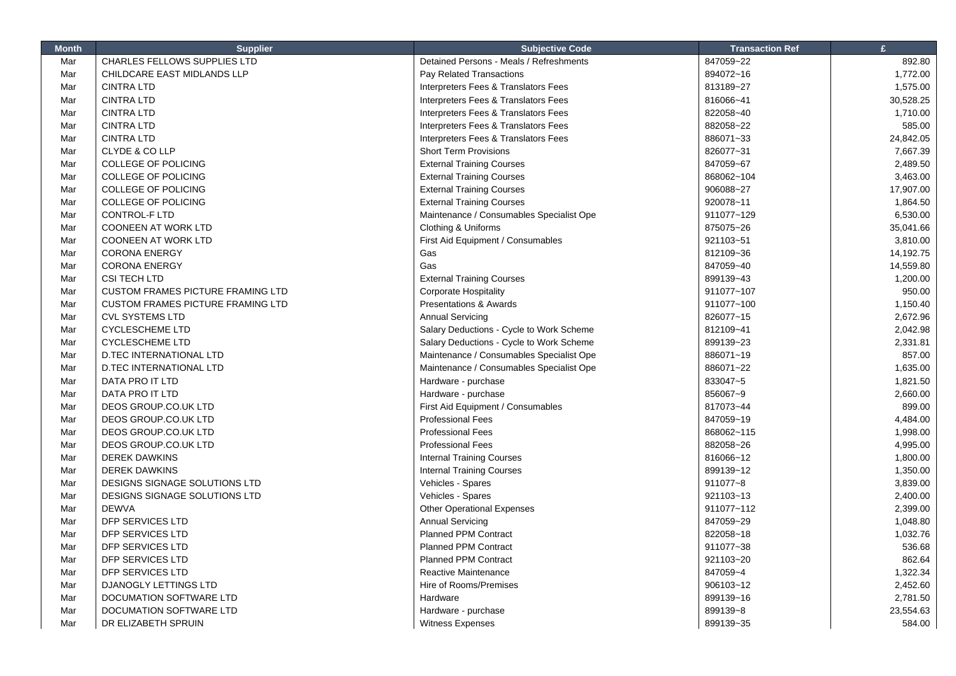| <b>Month</b> | <b>Supplier</b>                          | <b>Subjective Code</b>                   | <b>Transaction Ref</b> | £         |
|--------------|------------------------------------------|------------------------------------------|------------------------|-----------|
| Mar          | CHARLES FELLOWS SUPPLIES LTD             | Detained Persons - Meals / Refreshments  | 847059~22              | 892.80    |
| Mar          | CHILDCARE EAST MIDLANDS LLP              | Pay Related Transactions                 | 894072~16              | 1,772.00  |
| Mar          | <b>CINTRA LTD</b>                        | Interpreters Fees & Translators Fees     | 813189~27              | 1,575.00  |
| Mar          | <b>CINTRA LTD</b>                        | Interpreters Fees & Translators Fees     | 816066~41              | 30,528.25 |
| Mar          | <b>CINTRA LTD</b>                        | Interpreters Fees & Translators Fees     | 822058~40              | 1,710.00  |
| Mar          | <b>CINTRA LTD</b>                        | Interpreters Fees & Translators Fees     | 882058~22              | 585.00    |
| Mar          | <b>CINTRA LTD</b>                        | Interpreters Fees & Translators Fees     | 886071~33              | 24,842.05 |
| Mar          | CLYDE & CO LLP                           | <b>Short Term Provisions</b>             | 826077~31              | 7,667.39  |
| Mar          | <b>COLLEGE OF POLICING</b>               | <b>External Training Courses</b>         | 847059~67              | 2,489.50  |
| Mar          | <b>COLLEGE OF POLICING</b>               | <b>External Training Courses</b>         | 868062~104             | 3,463.00  |
| Mar          | <b>COLLEGE OF POLICING</b>               | <b>External Training Courses</b>         | 906088~27              | 17,907.00 |
| Mar          | <b>COLLEGE OF POLICING</b>               | <b>External Training Courses</b>         | 920078~11              | 1,864.50  |
| Mar          | CONTROL-F LTD                            | Maintenance / Consumables Specialist Ope | 911077~129             | 6,530.00  |
| Mar          | <b>COONEEN AT WORK LTD</b>               | Clothing & Uniforms                      | 875075~26              | 35,041.66 |
| Mar          | <b>COONEEN AT WORK LTD</b>               | First Aid Equipment / Consumables        | 921103~51              | 3,810.00  |
| Mar          | <b>CORONA ENERGY</b>                     | Gas                                      | 812109~36              | 14,192.75 |
| Mar          | <b>CORONA ENERGY</b>                     | Gas                                      | 847059~40              | 14,559.80 |
| Mar          | <b>CSI TECH LTD</b>                      | <b>External Training Courses</b>         | 899139~43              | 1,200.00  |
| Mar          | <b>CUSTOM FRAMES PICTURE FRAMING LTD</b> | <b>Corporate Hospitality</b>             | 911077~107             | 950.00    |
| Mar          | <b>CUSTOM FRAMES PICTURE FRAMING LTD</b> | <b>Presentations &amp; Awards</b>        | 911077~100             | 1,150.40  |
| Mar          | <b>CVL SYSTEMS LTD</b>                   | <b>Annual Servicing</b>                  | 826077~15              | 2,672.96  |
| Mar          | <b>CYCLESCHEME LTD</b>                   | Salary Deductions - Cycle to Work Scheme | 812109~41              | 2,042.98  |
| Mar          | <b>CYCLESCHEME LTD</b>                   | Salary Deductions - Cycle to Work Scheme | 899139~23              | 2,331.81  |
| Mar          | D.TEC INTERNATIONAL LTD                  | Maintenance / Consumables Specialist Ope | 886071~19              | 857.00    |
| Mar          | D.TEC INTERNATIONAL LTD                  | Maintenance / Consumables Specialist Ope | 886071~22              | 1,635.00  |
| Mar          | DATA PRO IT LTD                          | Hardware - purchase                      | 833047~5               | 1,821.50  |
| Mar          | DATA PRO IT LTD                          | Hardware - purchase                      | 856067~9               | 2,660.00  |
| Mar          | DEOS GROUP.CO.UK LTD                     | First Aid Equipment / Consumables        | 817073~44              | 899.00    |
| Mar          | DEOS GROUP.CO.UK LTD                     | <b>Professional Fees</b>                 | 847059~19              | 4,484.00  |
| Mar          | DEOS GROUP.CO.UK LTD                     | <b>Professional Fees</b>                 | 868062~115             | 1,998.00  |
| Mar          | DEOS GROUP.CO.UK LTD                     | <b>Professional Fees</b>                 | 882058~26              | 4,995.00  |
| Mar          | <b>DEREK DAWKINS</b>                     | <b>Internal Training Courses</b>         | 816066~12              | 1,800.00  |
| Mar          | <b>DEREK DAWKINS</b>                     | <b>Internal Training Courses</b>         | 899139~12              | 1,350.00  |
| Mar          | DESIGNS SIGNAGE SOLUTIONS LTD            | Vehicles - Spares                        | 911077~8               | 3,839.00  |
| Mar          | DESIGNS SIGNAGE SOLUTIONS LTD            | Vehicles - Spares                        | 921103~13              | 2,400.00  |
| Mar          | <b>DEWVA</b>                             | <b>Other Operational Expenses</b>        | 911077~112             | 2,399.00  |
| Mar          | DFP SERVICES LTD                         | <b>Annual Servicing</b>                  | 847059~29              | 1,048.80  |
| Mar          | DFP SERVICES LTD                         | <b>Planned PPM Contract</b>              | 822058~18              | 1,032.76  |
| Mar          | DFP SERVICES LTD                         | <b>Planned PPM Contract</b>              | 911077~38              | 536.68    |
| Mar          | DFP SERVICES LTD                         | <b>Planned PPM Contract</b>              | 921103~20              | 862.64    |
| Mar          | DFP SERVICES LTD                         | Reactive Maintenance                     | 847059~4               | 1,322.34  |
| Mar          | DJANOGLY LETTINGS LTD                    | Hire of Rooms/Premises                   | 906103~12              | 2,452.60  |
| Mar          | DOCUMATION SOFTWARE LTD                  | Hardware                                 | 899139~16              | 2,781.50  |
| Mar          | DOCUMATION SOFTWARE LTD                  | Hardware - purchase                      | 899139~8               | 23,554.63 |
| Mar          | DR ELIZABETH SPRUIN                      | <b>Witness Expenses</b>                  | 899139~35              | 584.00    |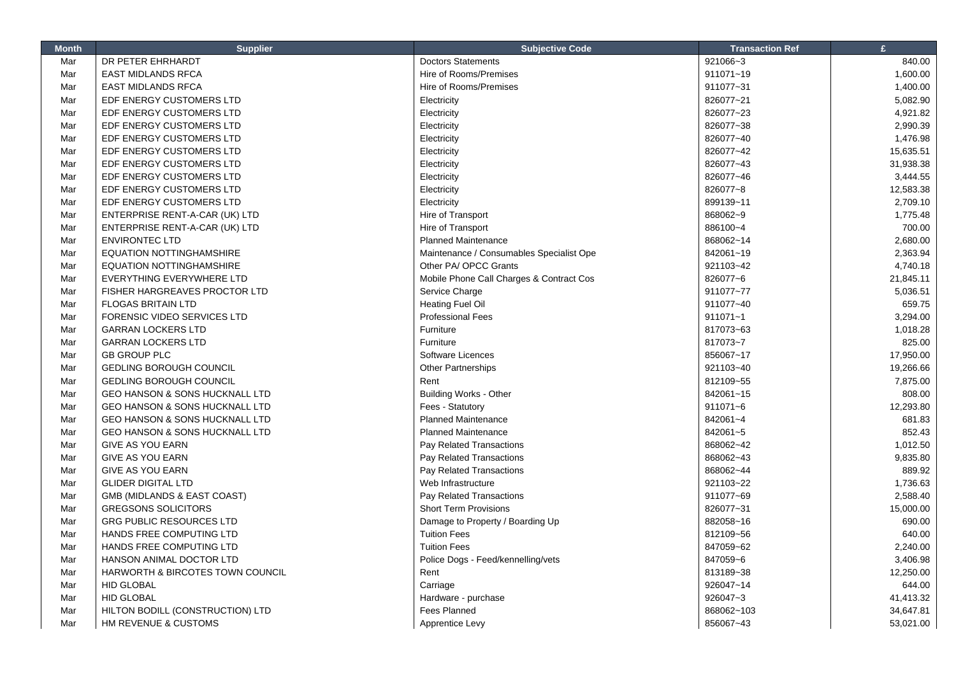| <b>Month</b> | <b>Supplier</b>                             | <b>Subjective Code</b>                   | <b>Transaction Ref</b> | £         |
|--------------|---------------------------------------------|------------------------------------------|------------------------|-----------|
| Mar          | DR PETER EHRHARDT                           | <b>Doctors Statements</b>                | 921066~3               | 840.00    |
| Mar          | <b>EAST MIDLANDS RFCA</b>                   | Hire of Rooms/Premises                   | 911071~19              | 1,600.00  |
| Mar          | <b>EAST MIDLANDS RFCA</b>                   | Hire of Rooms/Premises                   | 911077~31              | 1,400.00  |
| Mar          | EDF ENERGY CUSTOMERS LTD                    | Electricity                              | 826077~21              | 5,082.90  |
| Mar          | EDF ENERGY CUSTOMERS LTD                    | Electricity                              | 826077~23              | 4,921.82  |
| Mar          | EDF ENERGY CUSTOMERS LTD                    | Electricity                              | 826077~38              | 2,990.39  |
| Mar          | EDF ENERGY CUSTOMERS LTD                    | Electricity                              | 826077~40              | 1,476.98  |
| Mar          | EDF ENERGY CUSTOMERS LTD                    | Electricity                              | 826077~42              | 15,635.51 |
| Mar          | EDF ENERGY CUSTOMERS LTD                    | Electricity                              | 826077~43              | 31,938.38 |
| Mar          | EDF ENERGY CUSTOMERS LTD                    | Electricity                              | 826077~46              | 3,444.55  |
| Mar          | EDF ENERGY CUSTOMERS LTD                    | Electricity                              | 826077~8               | 12,583.38 |
| Mar          | EDF ENERGY CUSTOMERS LTD                    | Electricity                              | 899139~11              | 2,709.10  |
| Mar          | ENTERPRISE RENT-A-CAR (UK) LTD              | Hire of Transport                        | 868062~9               | 1,775.48  |
| Mar          | ENTERPRISE RENT-A-CAR (UK) LTD              | Hire of Transport                        | 886100~4               | 700.00    |
| Mar          | <b>ENVIRONTEC LTD</b>                       | <b>Planned Maintenance</b>               | 868062~14              | 2,680.00  |
| Mar          | <b>EQUATION NOTTINGHAMSHIRE</b>             | Maintenance / Consumables Specialist Ope | 842061~19              | 2,363.94  |
| Mar          | <b>EQUATION NOTTINGHAMSHIRE</b>             | Other PA/ OPCC Grants                    | 921103~42              | 4,740.18  |
| Mar          | EVERYTHING EVERYWHERE LTD                   | Mobile Phone Call Charges & Contract Cos | 826077~6               | 21,845.11 |
| Mar          | <b>FISHER HARGREAVES PROCTOR LTD</b>        | Service Charge                           | 911077~77              | 5,036.51  |
| Mar          | <b>FLOGAS BRITAIN LTD</b>                   | <b>Heating Fuel Oil</b>                  | 911077~40              | 659.75    |
| Mar          | FORENSIC VIDEO SERVICES LTD                 | <b>Professional Fees</b>                 | 911071~1               | 3,294.00  |
| Mar          | <b>GARRAN LOCKERS LTD</b>                   | Furniture                                | 817073~63              | 1,018.28  |
| Mar          | <b>GARRAN LOCKERS LTD</b>                   | Furniture                                | 817073~7               | 825.00    |
| Mar          | <b>GB GROUP PLC</b>                         | Software Licences                        | 856067~17              | 17,950.00 |
| Mar          | <b>GEDLING BOROUGH COUNCIL</b>              | Other Partnerships                       | 921103~40              | 19,266.66 |
| Mar          | <b>GEDLING BOROUGH COUNCIL</b>              | Rent                                     | 812109~55              | 7,875.00  |
| Mar          | GEO HANSON & SONS HUCKNALL LTD              | <b>Building Works - Other</b>            | 842061~15              | 808.00    |
| Mar          | GEO HANSON & SONS HUCKNALL LTD              | Fees - Statutory                         | 911071~6               | 12,293.80 |
| Mar          | <b>GEO HANSON &amp; SONS HUCKNALL LTD</b>   | <b>Planned Maintenance</b>               | 842061~4               | 681.83    |
| Mar          | GEO HANSON & SONS HUCKNALL LTD              | <b>Planned Maintenance</b>               | 842061~5               | 852.43    |
| Mar          | <b>GIVE AS YOU EARN</b>                     | Pay Related Transactions                 | 868062~42              | 1,012.50  |
| Mar          | <b>GIVE AS YOU EARN</b>                     | Pay Related Transactions                 | 868062~43              | 9,835.80  |
| Mar          | <b>GIVE AS YOU EARN</b>                     | Pay Related Transactions                 | 868062~44              | 889.92    |
| Mar          | <b>GLIDER DIGITAL LTD</b>                   | Web Infrastructure                       | 921103~22              | 1,736.63  |
| Mar          | GMB (MIDLANDS & EAST COAST)                 | Pay Related Transactions                 | 911077~69              | 2,588.40  |
| Mar          | <b>GREGSONS SOLICITORS</b>                  | <b>Short Term Provisions</b>             | 826077~31              | 15,000.00 |
| Mar          | <b>GRG PUBLIC RESOURCES LTD</b>             | Damage to Property / Boarding Up         | 882058~16              | 690.00    |
| Mar          | HANDS FREE COMPUTING LTD                    | <b>Tuition Fees</b>                      | 812109~56              | 640.00    |
| Mar          | HANDS FREE COMPUTING LTD                    | <b>Tuition Fees</b>                      | 847059~62              | 2,240.00  |
| Mar          | HANSON ANIMAL DOCTOR LTD                    | Police Dogs - Feed/kennelling/vets       | 847059~6               | 3,406.98  |
| Mar          | <b>HARWORTH &amp; BIRCOTES TOWN COUNCIL</b> | Rent                                     | 813189~38              | 12,250.00 |
| Mar          | <b>HID GLOBAL</b>                           | Carriage                                 | 926047~14              | 644.00    |
| Mar          | <b>HID GLOBAL</b>                           | Hardware - purchase                      | 926047~3               | 41,413.32 |
| Mar          | HILTON BODILL (CONSTRUCTION) LTD            | <b>Fees Planned</b>                      | 868062~103             | 34,647.81 |
| Mar          | HM REVENUE & CUSTOMS                        | Apprentice Levy                          | 856067~43              | 53,021.00 |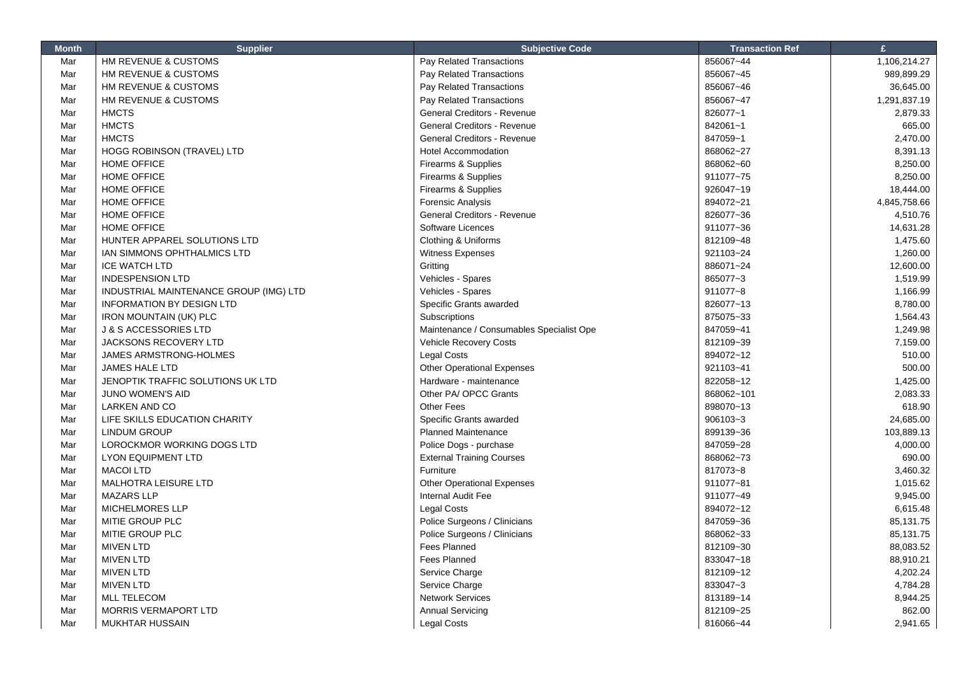| <b>Month</b> | <b>Supplier</b>                        | <b>Subjective Code</b>                             | <b>Transaction Ref</b> | $\mathbf{f}$       |
|--------------|----------------------------------------|----------------------------------------------------|------------------------|--------------------|
| Mar          | HM REVENUE & CUSTOMS                   | Pay Related Transactions                           | 856067~44              | 1,106,214.27       |
| Mar          | HM REVENUE & CUSTOMS                   | Pay Related Transactions                           | 856067~45              | 989,899.29         |
| Mar          | HM REVENUE & CUSTOMS                   | Pay Related Transactions                           | 856067~46              | 36,645.00          |
| Mar          | HM REVENUE & CUSTOMS                   | Pay Related Transactions                           | 856067~47              | 1,291,837.19       |
| Mar          | <b>HMCTS</b>                           | General Creditors - Revenue                        | 826077~1               | 2,879.33           |
| Mar          | <b>HMCTS</b>                           | <b>General Creditors - Revenue</b>                 | 842061~1               | 665.00             |
| Mar          | <b>HMCTS</b>                           | General Creditors - Revenue                        | 847059~1               | 2,470.00           |
| Mar          | HOGG ROBINSON (TRAVEL) LTD             | <b>Hotel Accommodation</b>                         | 868062~27              | 8,391.13           |
| Mar          | <b>HOME OFFICE</b>                     | Firearms & Supplies                                | 868062~60              | 8,250.00           |
| Mar          | HOME OFFICE                            | Firearms & Supplies                                | 911077~75              | 8,250.00           |
| Mar          | HOME OFFICE                            | Firearms & Supplies                                | 926047~19              | 18,444.00          |
| Mar          | HOME OFFICE                            | <b>Forensic Analysis</b>                           | 894072~21              | 4,845,758.66       |
| Mar          | HOME OFFICE                            | General Creditors - Revenue                        | 826077~36              | 4,510.76           |
| Mar          | HOME OFFICE                            | Software Licences                                  | 911077~36              | 14,631.28          |
| Mar          | HUNTER APPAREL SOLUTIONS LTD           | Clothing & Uniforms                                | 812109~48              | 1,475.60           |
| Mar          | IAN SIMMONS OPHTHALMICS LTD            | Witness Expenses                                   | 921103~24              | 1,260.00           |
| Mar          | <b>ICE WATCH LTD</b>                   | Gritting                                           | 886071~24              | 12,600.00          |
| Mar          | <b>INDESPENSION LTD</b>                | Vehicles - Spares                                  | 865077~3               | 1,519.99           |
| Mar          | INDUSTRIAL MAINTENANCE GROUP (IMG) LTD | Vehicles - Spares                                  | 911077~8               | 1,166.99           |
| Mar          | <b>INFORMATION BY DESIGN LTD</b>       | Specific Grants awarded                            | 826077~13              | 8,780.00           |
| Mar          | <b>IRON MOUNTAIN (UK) PLC</b>          | Subscriptions                                      | 875075~33              | 1,564.43           |
| Mar          | <b>J &amp; S ACCESSORIES LTD</b>       | Maintenance / Consumables Specialist Ope           | 847059~41              | 1,249.98           |
| Mar          | <b>JACKSONS RECOVERY LTD</b>           | Vehicle Recovery Costs                             | 812109~39              | 7,159.00           |
| Mar          | JAMES ARMSTRONG-HOLMES                 | <b>Legal Costs</b>                                 | 894072~12              | 510.00             |
| Mar          | <b>JAMES HALE LTD</b>                  | <b>Other Operational Expenses</b>                  | 921103~41              | 500.00             |
| Mar          | JENOPTIK TRAFFIC SOLUTIONS UK LTD      | Hardware - maintenance                             | 822058~12              | 1,425.00           |
| Mar          | JUNO WOMEN'S AID                       | Other PA/ OPCC Grants                              | 868062~101             | 2,083.33           |
| Mar          | <b>LARKEN AND CO</b>                   | <b>Other Fees</b>                                  | 898070~13              | 618.90             |
| Mar          | LIFE SKILLS EDUCATION CHARITY          | Specific Grants awarded                            | 906103~3               | 24,685.00          |
| Mar          | <b>LINDUM GROUP</b>                    | <b>Planned Maintenance</b>                         | 899139~36              | 103,889.13         |
| Mar          | LOROCKMOR WORKING DOGS LTD             | Police Dogs - purchase                             | 847059~28              | 4,000.00           |
| Mar          | <b>LYON EQUIPMENT LTD</b>              | <b>External Training Courses</b>                   | 868062~73              | 690.00             |
| Mar          | <b>MACOI LTD</b>                       | Furniture                                          | 817073~8               | 3,460.32           |
| Mar          | MALHOTRA LEISURE LTD                   | <b>Other Operational Expenses</b>                  | 911077~81              | 1,015.62           |
| Mar          | <b>MAZARS LLP</b>                      | Internal Audit Fee                                 | 911077~49              | 9,945.00           |
| Mar          | <b>MICHELMORES LLP</b>                 | <b>Legal Costs</b>                                 | 894072~12              | 6,615.48           |
| Mar          | MITIE GROUP PLC                        | Police Surgeons / Clinicians                       | 847059~36              | 85,131.75          |
| Mar          | MITIE GROUP PLC                        | Police Surgeons / Clinicians                       | 868062~33              | 85,131.75          |
| Mar          | <b>MIVEN LTD</b>                       | Fees Planned                                       | 812109~30              | 88,083.52          |
| Mar          | <b>MIVEN LTD</b>                       | <b>Fees Planned</b>                                | 833047~18              | 88,910.21          |
| Mar          | <b>MIVEN LTD</b>                       | Service Charge                                     | 812109~12              | 4,202.24           |
| Mar          | <b>MIVEN LTD</b>                       | Service Charge                                     | 833047~3               | 4,784.28           |
|              | <b>MLL TELECOM</b>                     |                                                    | 813189~14              |                    |
| Mar<br>Mar   | <b>MORRIS VERMAPORT LTD</b>            | <b>Network Services</b><br><b>Annual Servicing</b> | 812109~25              | 8,944.25<br>862.00 |
|              |                                        |                                                    |                        |                    |
| Mar          | <b>MUKHTAR HUSSAIN</b>                 | <b>Legal Costs</b>                                 | 816066~44              | 2,941.65           |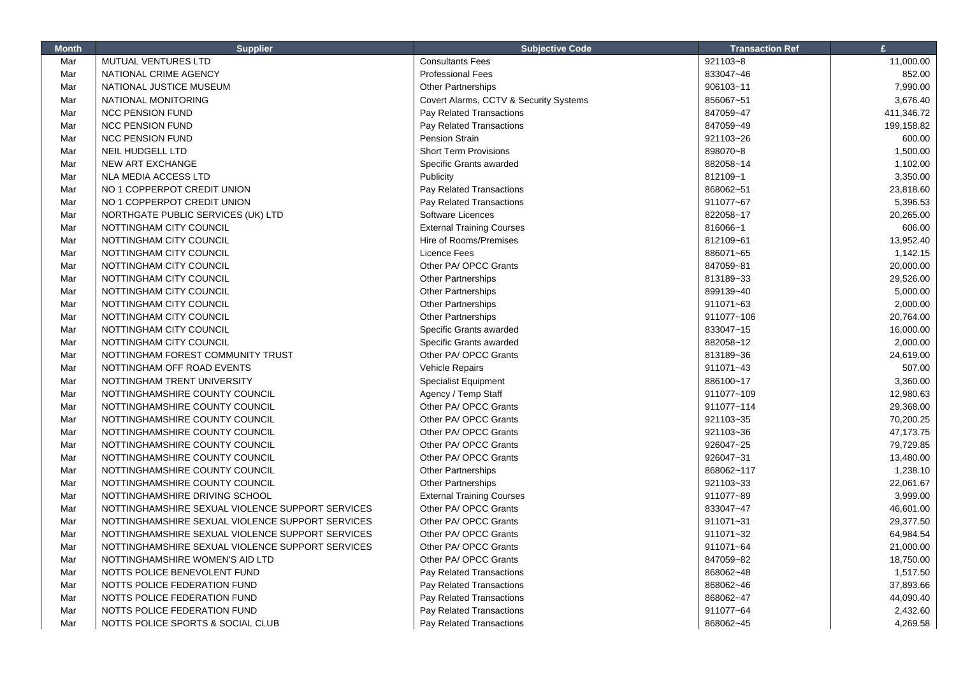| <b>Month</b> | <b>Supplier</b>                                  | <b>Subjective Code</b>                 | <b>Transaction Ref</b> | £          |
|--------------|--------------------------------------------------|----------------------------------------|------------------------|------------|
| Mar          | MUTUAL VENTURES LTD                              | <b>Consultants Fees</b>                | 921103~8               | 11,000.00  |
| Mar          | NATIONAL CRIME AGENCY                            | <b>Professional Fees</b>               | 833047~46              | 852.00     |
| Mar          | NATIONAL JUSTICE MUSEUM                          | Other Partnerships                     | 906103~11              | 7,990.00   |
| Mar          | NATIONAL MONITORING                              | Covert Alarms, CCTV & Security Systems | 856067~51              | 3,676.40   |
| Mar          | <b>NCC PENSION FUND</b>                          | Pay Related Transactions               | 847059~47              | 411,346.72 |
| Mar          | <b>NCC PENSION FUND</b>                          | Pay Related Transactions               | 847059~49              | 199,158.82 |
| Mar          | <b>NCC PENSION FUND</b>                          | <b>Pension Strain</b>                  | 921103~26              | 600.00     |
| Mar          | <b>NEIL HUDGELL LTD</b>                          | <b>Short Term Provisions</b>           | 898070~8               | 1,500.00   |
| Mar          | <b>NEW ART EXCHANGE</b>                          | Specific Grants awarded                | 882058~14              | 1,102.00   |
| Mar          | NLA MEDIA ACCESS LTD                             | Publicity                              | 812109~1               | 3,350.00   |
| Mar          | NO 1 COPPERPOT CREDIT UNION                      | Pay Related Transactions               | 868062~51              | 23,818.60  |
| Mar          | NO 1 COPPERPOT CREDIT UNION                      | Pay Related Transactions               | 911077~67              | 5,396.53   |
| Mar          | NORTHGATE PUBLIC SERVICES (UK) LTD               | Software Licences                      | 822058~17              | 20,265.00  |
| Mar          | NOTTINGHAM CITY COUNCIL                          | <b>External Training Courses</b>       | 816066~1               | 606.00     |
| Mar          | NOTTINGHAM CITY COUNCIL                          | Hire of Rooms/Premises                 | 812109~61              | 13,952.40  |
| Mar          | NOTTINGHAM CITY COUNCIL                          | <b>Licence Fees</b>                    | 886071~65              | 1,142.15   |
| Mar          | NOTTINGHAM CITY COUNCIL                          | Other PA/ OPCC Grants                  | 847059~81              | 20,000.00  |
| Mar          | NOTTINGHAM CITY COUNCIL                          | <b>Other Partnerships</b>              | 813189~33              | 29,526.00  |
| Mar          | NOTTINGHAM CITY COUNCIL                          | <b>Other Partnerships</b>              | 899139~40              | 5,000.00   |
| Mar          | NOTTINGHAM CITY COUNCIL                          | <b>Other Partnerships</b>              | 911071~63              | 2,000.00   |
| Mar          | NOTTINGHAM CITY COUNCIL                          | <b>Other Partnerships</b>              | 911077~106             | 20,764.00  |
| Mar          | NOTTINGHAM CITY COUNCIL                          | Specific Grants awarded                | 833047~15              | 16,000.00  |
| Mar          | NOTTINGHAM CITY COUNCIL                          | Specific Grants awarded                | 882058~12              | 2,000.00   |
| Mar          | NOTTINGHAM FOREST COMMUNITY TRUST                | Other PA/ OPCC Grants                  | 813189~36              | 24,619.00  |
| Mar          | NOTTINGHAM OFF ROAD EVENTS                       | <b>Vehicle Repairs</b>                 | 911071~43              | 507.00     |
| Mar          | NOTTINGHAM TRENT UNIVERSITY                      | <b>Specialist Equipment</b>            | 886100~17              | 3,360.00   |
| Mar          | NOTTINGHAMSHIRE COUNTY COUNCIL                   | Agency / Temp Staff                    | 911077~109             | 12,980.63  |
| Mar          | NOTTINGHAMSHIRE COUNTY COUNCIL                   | Other PA/ OPCC Grants                  | 911077~114             | 29,368.00  |
| Mar          | NOTTINGHAMSHIRE COUNTY COUNCIL                   | Other PA/ OPCC Grants                  | 921103~35              | 70,200.25  |
| Mar          | NOTTINGHAMSHIRE COUNTY COUNCIL                   | Other PA/ OPCC Grants                  | 921103~36              | 47,173.75  |
| Mar          | NOTTINGHAMSHIRE COUNTY COUNCIL                   | Other PA/ OPCC Grants                  | 926047~25              | 79,729.85  |
| Mar          | NOTTINGHAMSHIRE COUNTY COUNCIL                   | Other PA/ OPCC Grants                  | 926047~31              | 13,480.00  |
| Mar          | NOTTINGHAMSHIRE COUNTY COUNCIL                   | <b>Other Partnerships</b>              | 868062~117             | 1,238.10   |
| Mar          | NOTTINGHAMSHIRE COUNTY COUNCIL                   | <b>Other Partnerships</b>              | 921103~33              | 22,061.67  |
| Mar          | NOTTINGHAMSHIRE DRIVING SCHOOL                   | <b>External Training Courses</b>       | 911077~89              | 3,999.00   |
| Mar          | NOTTINGHAMSHIRE SEXUAL VIOLENCE SUPPORT SERVICES | Other PA/ OPCC Grants                  | 833047~47              | 46,601.00  |
| Mar          | NOTTINGHAMSHIRE SEXUAL VIOLENCE SUPPORT SERVICES | Other PA/ OPCC Grants                  | 911071~31              | 29,377.50  |
| Mar          | NOTTINGHAMSHIRE SEXUAL VIOLENCE SUPPORT SERVICES | Other PA/ OPCC Grants                  | 911071~32              | 64,984.54  |
|              | NOTTINGHAMSHIRE SEXUAL VIOLENCE SUPPORT SERVICES | Other PA/ OPCC Grants                  | 911071~64              |            |
| Mar          |                                                  |                                        |                        | 21,000.00  |
| Mar          | NOTTINGHAMSHIRE WOMEN'S AID LTD                  | Other PA/ OPCC Grants                  | 847059~82              | 18,750.00  |
| Mar          | NOTTS POLICE BENEVOLENT FUND                     | Pay Related Transactions               | 868062~48              | 1,517.50   |
| Mar          | NOTTS POLICE FEDERATION FUND                     | Pay Related Transactions               | 868062~46              | 37,893.66  |
| Mar          | NOTTS POLICE FEDERATION FUND                     | Pay Related Transactions               | 868062~47              | 44,090.40  |
| Mar          | NOTTS POLICE FEDERATION FUND                     | Pay Related Transactions               | 911077~64              | 2,432.60   |
| Mar          | NOTTS POLICE SPORTS & SOCIAL CLUB                | Pay Related Transactions               | 868062~45              | 4,269.58   |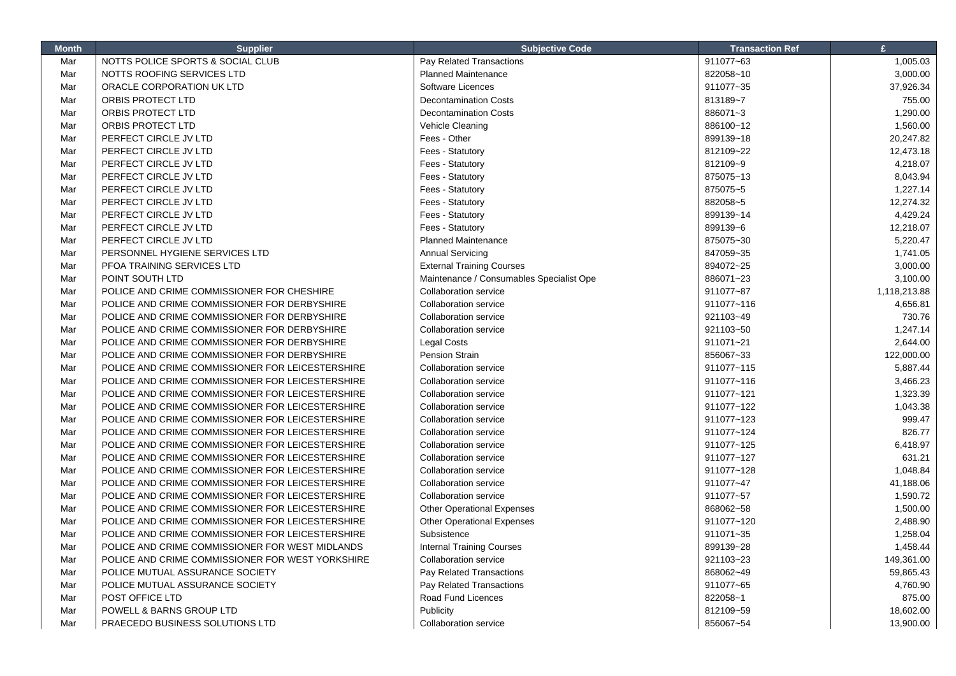| <b>Month</b> | <b>Supplier</b>                                  | <b>Subjective Code</b>                   | <b>Transaction Ref</b> | £            |
|--------------|--------------------------------------------------|------------------------------------------|------------------------|--------------|
| Mar          | NOTTS POLICE SPORTS & SOCIAL CLUB                | Pay Related Transactions                 | 911077~63              | 1,005.03     |
| Mar          | NOTTS ROOFING SERVICES LTD                       | <b>Planned Maintenance</b>               | 822058~10              | 3,000.00     |
| Mar          | ORACLE CORPORATION UK LTD                        | Software Licences                        | 911077~35              | 37,926.34    |
| Mar          | ORBIS PROTECT LTD                                | <b>Decontamination Costs</b>             | 813189~7               | 755.00       |
| Mar          | ORBIS PROTECT LTD                                | <b>Decontamination Costs</b>             | 886071~3               | 1,290.00     |
| Mar          | ORBIS PROTECT LTD                                | Vehicle Cleaning                         | 886100~12              | 1,560.00     |
| Mar          | PERFECT CIRCLE JV LTD                            | Fees - Other                             | 899139~18              | 20,247.82    |
| Mar          | PERFECT CIRCLE JV LTD                            | Fees - Statutory                         | 812109~22              | 12,473.18    |
| Mar          | PERFECT CIRCLE JV LTD                            | Fees - Statutory                         | 812109~9               | 4,218.07     |
| Mar          | PERFECT CIRCLE JV LTD                            | Fees - Statutory                         | 875075~13              | 8,043.94     |
| Mar          | PERFECT CIRCLE JV LTD                            | Fees - Statutory                         | 875075~5               | 1,227.14     |
| Mar          | PERFECT CIRCLE JV LTD                            | Fees - Statutory                         | 882058~5               | 12,274.32    |
| Mar          | PERFECT CIRCLE JV LTD                            | Fees - Statutory                         | 899139~14              | 4,429.24     |
| Mar          | PERFECT CIRCLE JV LTD                            | Fees - Statutory                         | 899139~6               | 12,218.07    |
| Mar          | PERFECT CIRCLE JV LTD                            | <b>Planned Maintenance</b>               | 875075~30              | 5,220.47     |
| Mar          | PERSONNEL HYGIENE SERVICES LTD                   | <b>Annual Servicing</b>                  | 847059~35              | 1,741.05     |
| Mar          | PFOA TRAINING SERVICES LTD                       | <b>External Training Courses</b>         | 894072~25              | 3,000.00     |
| Mar          | POINT SOUTH LTD                                  | Maintenance / Consumables Specialist Ope | 886071~23              | 3,100.00     |
| Mar          | POLICE AND CRIME COMMISSIONER FOR CHESHIRE       | <b>Collaboration service</b>             | 911077~87              | 1,118,213.88 |
| Mar          | POLICE AND CRIME COMMISSIONER FOR DERBYSHIRE     | <b>Collaboration service</b>             | 911077~116             | 4,656.81     |
| Mar          | POLICE AND CRIME COMMISSIONER FOR DERBYSHIRE     | Collaboration service                    | 921103~49              | 730.76       |
| Mar          | POLICE AND CRIME COMMISSIONER FOR DERBYSHIRE     | <b>Collaboration service</b>             | 921103~50              | 1,247.14     |
| Mar          | POLICE AND CRIME COMMISSIONER FOR DERBYSHIRE     | <b>Legal Costs</b>                       | 911071~21              | 2,644.00     |
| Mar          | POLICE AND CRIME COMMISSIONER FOR DERBYSHIRE     | <b>Pension Strain</b>                    | 856067~33              | 122,000.00   |
| Mar          | POLICE AND CRIME COMMISSIONER FOR LEICESTERSHIRE | <b>Collaboration service</b>             | 911077~115             | 5,887.44     |
| Mar          | POLICE AND CRIME COMMISSIONER FOR LEICESTERSHIRE | Collaboration service                    | 911077~116             | 3,466.23     |
| Mar          | POLICE AND CRIME COMMISSIONER FOR LEICESTERSHIRE | <b>Collaboration service</b>             | 911077~121             | 1,323.39     |
| Mar          | POLICE AND CRIME COMMISSIONER FOR LEICESTERSHIRE | <b>Collaboration service</b>             | 911077~122             | 1,043.38     |
| Mar          | POLICE AND CRIME COMMISSIONER FOR LEICESTERSHIRE | <b>Collaboration service</b>             | 911077~123             | 999.47       |
| Mar          | POLICE AND CRIME COMMISSIONER FOR LEICESTERSHIRE | <b>Collaboration service</b>             | 911077~124             | 826.77       |
| Mar          | POLICE AND CRIME COMMISSIONER FOR LEICESTERSHIRE | <b>Collaboration service</b>             | 911077~125             | 6,418.97     |
| Mar          | POLICE AND CRIME COMMISSIONER FOR LEICESTERSHIRE | <b>Collaboration service</b>             | 911077~127             | 631.21       |
| Mar          | POLICE AND CRIME COMMISSIONER FOR LEICESTERSHIRE | <b>Collaboration service</b>             | 911077~128             | 1,048.84     |
| Mar          | POLICE AND CRIME COMMISSIONER FOR LEICESTERSHIRE | <b>Collaboration service</b>             | 911077~47              | 41,188.06    |
| Mar          | POLICE AND CRIME COMMISSIONER FOR LEICESTERSHIRE | <b>Collaboration service</b>             | 911077~57              | 1,590.72     |
| Mar          | POLICE AND CRIME COMMISSIONER FOR LEICESTERSHIRE | <b>Other Operational Expenses</b>        | 868062~58              | 1,500.00     |
| Mar          | POLICE AND CRIME COMMISSIONER FOR LEICESTERSHIRE | <b>Other Operational Expenses</b>        | 911077~120             | 2,488.90     |
| Mar          | POLICE AND CRIME COMMISSIONER FOR LEICESTERSHIRE | Subsistence                              | 911071~35              | 1,258.04     |
| Mar          | POLICE AND CRIME COMMISSIONER FOR WEST MIDLANDS  | <b>Internal Training Courses</b>         | 899139~28              | 1,458.44     |
| Mar          | POLICE AND CRIME COMMISSIONER FOR WEST YORKSHIRE | <b>Collaboration service</b>             | 921103~23              | 149,361.00   |
| Mar          | POLICE MUTUAL ASSURANCE SOCIETY                  | Pay Related Transactions                 | 868062~49              | 59,865.43    |
| Mar          | POLICE MUTUAL ASSURANCE SOCIETY                  | Pay Related Transactions                 | 911077~65              | 4,760.90     |
| Mar          | POST OFFICE LTD                                  | Road Fund Licences                       | 822058~1               | 875.00       |
| Mar          | POWELL & BARNS GROUP LTD                         | Publicity                                | 812109~59              | 18,602.00    |
| Mar          | PRAECEDO BUSINESS SOLUTIONS LTD                  | <b>Collaboration service</b>             | 856067~54              | 13,900.00    |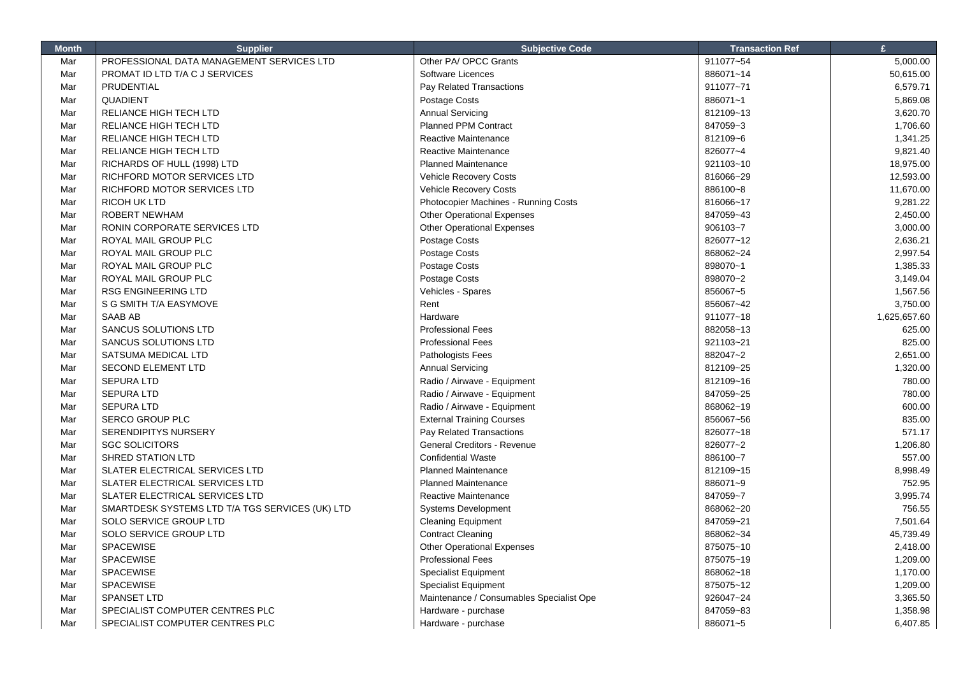| Mar<br>PROFESSIONAL DATA MANAGEMENT SERVICES LTD<br>Other PA/ OPCC Grants<br>911077~54<br>5,000.00<br>Mar<br>PROMAT ID LTD T/A C J SERVICES<br><b>Software Licences</b><br>886071~14<br>50,615.00<br>Mar<br>PRUDENTIAL<br>Pay Related Transactions<br>911077~71<br>6,579.71<br>QUADIENT<br>Postage Costs<br>886071~1<br>5,869.08<br>Mar<br>Mar<br>RELIANCE HIGH TECH LTD<br><b>Annual Servicing</b><br>812109~13<br>3,620.70<br><b>Planned PPM Contract</b><br>Mar<br>RELIANCE HIGH TECH LTD<br>847059~3<br>1,706.60<br>Mar<br>RELIANCE HIGH TECH LTD<br>Reactive Maintenance<br>812109~6<br>1,341.25<br>Reactive Maintenance<br>826077~4<br>9,821.40<br>Mar<br>RELIANCE HIGH TECH LTD<br>Mar<br><b>Planned Maintenance</b><br>921103~10<br>18,975.00<br>RICHARDS OF HULL (1998) LTD<br>Mar<br>RICHFORD MOTOR SERVICES LTD<br>Vehicle Recovery Costs<br>816066~29<br>12,593.00<br>Mar<br>RICHFORD MOTOR SERVICES LTD<br>Vehicle Recovery Costs<br>886100~8<br>11,670.00<br>RICOH UK LTD<br>Photocopier Machines - Running Costs<br>816066~17<br>9,281.22<br>Mar<br>ROBERT NEWHAM<br><b>Other Operational Expenses</b><br>847059~43<br>2,450.00<br>Mar<br>Mar<br>RONIN CORPORATE SERVICES LTD<br><b>Other Operational Expenses</b><br>906103~7<br>3,000.00<br>Mar<br>ROYAL MAIL GROUP PLC<br>Postage Costs<br>826077~12<br>2,636.21<br>Postage Costs<br>868062~24<br>2,997.54<br>Mar<br>ROYAL MAIL GROUP PLC<br>Mar<br>ROYAL MAIL GROUP PLC<br>Postage Costs<br>898070~1<br>1,385.33<br>Postage Costs<br>Mar<br>ROYAL MAIL GROUP PLC<br>898070~2<br>3,149.04<br>Mar<br><b>RSG ENGINEERING LTD</b><br>Vehicles - Spares<br>856067~5<br>1,567.56<br>S G SMITH T/A EASYMOVE<br>Rent<br>856067~42<br>3,750.00<br>Mar<br>Mar<br><b>SAAB AB</b><br>Hardware<br>911077~18<br>1,625,657.60<br>625.00<br>Mar<br>SANCUS SOLUTIONS LTD<br><b>Professional Fees</b><br>882058~13<br><b>Professional Fees</b><br>825.00<br>Mar<br>SANCUS SOLUTIONS LTD<br>921103~21<br>Pathologists Fees<br>882047~2<br>2,651.00<br>Mar<br>SATSUMA MEDICAL LTD<br>Mar<br><b>SECOND ELEMENT LTD</b><br><b>Annual Servicing</b><br>812109~25<br>1,320.00<br>780.00<br>Mar<br><b>SEPURA LTD</b><br>Radio / Airwave - Equipment<br>812109~16<br>Mar<br><b>SEPURA LTD</b><br>Radio / Airwave - Equipment<br>847059~25<br>780.00<br>600.00<br><b>SEPURA LTD</b><br>Radio / Airwave - Equipment<br>868062~19<br>Mar<br>835.00<br>Mar<br><b>SERCO GROUP PLC</b><br><b>External Training Courses</b><br>856067~56<br>SERENDIPITYS NURSERY<br>826077~18<br>571.17<br>Mar<br>Pay Related Transactions<br>Mar<br><b>SGC SOLICITORS</b><br>General Creditors - Revenue<br>826077~2<br>1,206.80<br>557.00<br>Mar<br><b>SHRED STATION LTD</b><br><b>Confidential Waste</b><br>886100~7<br>Mar<br>SLATER ELECTRICAL SERVICES LTD<br><b>Planned Maintenance</b><br>812109~15<br>8,998.49<br>752.95<br>Mar<br>SLATER ELECTRICAL SERVICES LTD<br><b>Planned Maintenance</b><br>886071~9<br>Mar<br>SLATER ELECTRICAL SERVICES LTD<br>Reactive Maintenance<br>847059~7<br>3,995.74<br>756.55<br>Mar<br>SMARTDESK SYSTEMS LTD T/A TGS SERVICES (UK) LTD<br><b>Systems Development</b><br>868062~20<br>Mar<br><b>SOLO SERVICE GROUP LTD</b><br><b>Cleaning Equipment</b><br>847059~21<br>7,501.64<br>SOLO SERVICE GROUP LTD<br><b>Contract Cleaning</b><br>868062~34<br>45,739.49<br>Mar<br><b>SPACEWISE</b><br><b>Other Operational Expenses</b><br>Mar<br>875075~10<br>2,418.00<br><b>SPACEWISE</b><br><b>Professional Fees</b><br>Mar<br>875075~19<br>1,209.00 | <b>Month</b> | <b>Supplier</b> | <b>Subjective Code</b> | <b>Transaction Ref</b> | £ |
|--------------------------------------------------------------------------------------------------------------------------------------------------------------------------------------------------------------------------------------------------------------------------------------------------------------------------------------------------------------------------------------------------------------------------------------------------------------------------------------------------------------------------------------------------------------------------------------------------------------------------------------------------------------------------------------------------------------------------------------------------------------------------------------------------------------------------------------------------------------------------------------------------------------------------------------------------------------------------------------------------------------------------------------------------------------------------------------------------------------------------------------------------------------------------------------------------------------------------------------------------------------------------------------------------------------------------------------------------------------------------------------------------------------------------------------------------------------------------------------------------------------------------------------------------------------------------------------------------------------------------------------------------------------------------------------------------------------------------------------------------------------------------------------------------------------------------------------------------------------------------------------------------------------------------------------------------------------------------------------------------------------------------------------------------------------------------------------------------------------------------------------------------------------------------------------------------------------------------------------------------------------------------------------------------------------------------------------------------------------------------------------------------------------------------------------------------------------------------------------------------------------------------------------------------------------------------------------------------------------------------------------------------------------------------------------------------------------------------------------------------------------------------------------------------------------------------------------------------------------------------------------------------------------------------------------------------------------------------------------------------------------------------------------------------------------------------------------------------------------------------------------------------------------------------------------------------------------------------------------------------------------------------------------------------------------------------------------------------------------------------------------------------------------------------------------------------------------------------------------------------------------|--------------|-----------------|------------------------|------------------------|---|
|                                                                                                                                                                                                                                                                                                                                                                                                                                                                                                                                                                                                                                                                                                                                                                                                                                                                                                                                                                                                                                                                                                                                                                                                                                                                                                                                                                                                                                                                                                                                                                                                                                                                                                                                                                                                                                                                                                                                                                                                                                                                                                                                                                                                                                                                                                                                                                                                                                                                                                                                                                                                                                                                                                                                                                                                                                                                                                                                                                                                                                                                                                                                                                                                                                                                                                                                                                                                                                                                                                              |              |                 |                        |                        |   |
|                                                                                                                                                                                                                                                                                                                                                                                                                                                                                                                                                                                                                                                                                                                                                                                                                                                                                                                                                                                                                                                                                                                                                                                                                                                                                                                                                                                                                                                                                                                                                                                                                                                                                                                                                                                                                                                                                                                                                                                                                                                                                                                                                                                                                                                                                                                                                                                                                                                                                                                                                                                                                                                                                                                                                                                                                                                                                                                                                                                                                                                                                                                                                                                                                                                                                                                                                                                                                                                                                                              |              |                 |                        |                        |   |
|                                                                                                                                                                                                                                                                                                                                                                                                                                                                                                                                                                                                                                                                                                                                                                                                                                                                                                                                                                                                                                                                                                                                                                                                                                                                                                                                                                                                                                                                                                                                                                                                                                                                                                                                                                                                                                                                                                                                                                                                                                                                                                                                                                                                                                                                                                                                                                                                                                                                                                                                                                                                                                                                                                                                                                                                                                                                                                                                                                                                                                                                                                                                                                                                                                                                                                                                                                                                                                                                                                              |              |                 |                        |                        |   |
|                                                                                                                                                                                                                                                                                                                                                                                                                                                                                                                                                                                                                                                                                                                                                                                                                                                                                                                                                                                                                                                                                                                                                                                                                                                                                                                                                                                                                                                                                                                                                                                                                                                                                                                                                                                                                                                                                                                                                                                                                                                                                                                                                                                                                                                                                                                                                                                                                                                                                                                                                                                                                                                                                                                                                                                                                                                                                                                                                                                                                                                                                                                                                                                                                                                                                                                                                                                                                                                                                                              |              |                 |                        |                        |   |
|                                                                                                                                                                                                                                                                                                                                                                                                                                                                                                                                                                                                                                                                                                                                                                                                                                                                                                                                                                                                                                                                                                                                                                                                                                                                                                                                                                                                                                                                                                                                                                                                                                                                                                                                                                                                                                                                                                                                                                                                                                                                                                                                                                                                                                                                                                                                                                                                                                                                                                                                                                                                                                                                                                                                                                                                                                                                                                                                                                                                                                                                                                                                                                                                                                                                                                                                                                                                                                                                                                              |              |                 |                        |                        |   |
|                                                                                                                                                                                                                                                                                                                                                                                                                                                                                                                                                                                                                                                                                                                                                                                                                                                                                                                                                                                                                                                                                                                                                                                                                                                                                                                                                                                                                                                                                                                                                                                                                                                                                                                                                                                                                                                                                                                                                                                                                                                                                                                                                                                                                                                                                                                                                                                                                                                                                                                                                                                                                                                                                                                                                                                                                                                                                                                                                                                                                                                                                                                                                                                                                                                                                                                                                                                                                                                                                                              |              |                 |                        |                        |   |
|                                                                                                                                                                                                                                                                                                                                                                                                                                                                                                                                                                                                                                                                                                                                                                                                                                                                                                                                                                                                                                                                                                                                                                                                                                                                                                                                                                                                                                                                                                                                                                                                                                                                                                                                                                                                                                                                                                                                                                                                                                                                                                                                                                                                                                                                                                                                                                                                                                                                                                                                                                                                                                                                                                                                                                                                                                                                                                                                                                                                                                                                                                                                                                                                                                                                                                                                                                                                                                                                                                              |              |                 |                        |                        |   |
|                                                                                                                                                                                                                                                                                                                                                                                                                                                                                                                                                                                                                                                                                                                                                                                                                                                                                                                                                                                                                                                                                                                                                                                                                                                                                                                                                                                                                                                                                                                                                                                                                                                                                                                                                                                                                                                                                                                                                                                                                                                                                                                                                                                                                                                                                                                                                                                                                                                                                                                                                                                                                                                                                                                                                                                                                                                                                                                                                                                                                                                                                                                                                                                                                                                                                                                                                                                                                                                                                                              |              |                 |                        |                        |   |
|                                                                                                                                                                                                                                                                                                                                                                                                                                                                                                                                                                                                                                                                                                                                                                                                                                                                                                                                                                                                                                                                                                                                                                                                                                                                                                                                                                                                                                                                                                                                                                                                                                                                                                                                                                                                                                                                                                                                                                                                                                                                                                                                                                                                                                                                                                                                                                                                                                                                                                                                                                                                                                                                                                                                                                                                                                                                                                                                                                                                                                                                                                                                                                                                                                                                                                                                                                                                                                                                                                              |              |                 |                        |                        |   |
|                                                                                                                                                                                                                                                                                                                                                                                                                                                                                                                                                                                                                                                                                                                                                                                                                                                                                                                                                                                                                                                                                                                                                                                                                                                                                                                                                                                                                                                                                                                                                                                                                                                                                                                                                                                                                                                                                                                                                                                                                                                                                                                                                                                                                                                                                                                                                                                                                                                                                                                                                                                                                                                                                                                                                                                                                                                                                                                                                                                                                                                                                                                                                                                                                                                                                                                                                                                                                                                                                                              |              |                 |                        |                        |   |
|                                                                                                                                                                                                                                                                                                                                                                                                                                                                                                                                                                                                                                                                                                                                                                                                                                                                                                                                                                                                                                                                                                                                                                                                                                                                                                                                                                                                                                                                                                                                                                                                                                                                                                                                                                                                                                                                                                                                                                                                                                                                                                                                                                                                                                                                                                                                                                                                                                                                                                                                                                                                                                                                                                                                                                                                                                                                                                                                                                                                                                                                                                                                                                                                                                                                                                                                                                                                                                                                                                              |              |                 |                        |                        |   |
|                                                                                                                                                                                                                                                                                                                                                                                                                                                                                                                                                                                                                                                                                                                                                                                                                                                                                                                                                                                                                                                                                                                                                                                                                                                                                                                                                                                                                                                                                                                                                                                                                                                                                                                                                                                                                                                                                                                                                                                                                                                                                                                                                                                                                                                                                                                                                                                                                                                                                                                                                                                                                                                                                                                                                                                                                                                                                                                                                                                                                                                                                                                                                                                                                                                                                                                                                                                                                                                                                                              |              |                 |                        |                        |   |
|                                                                                                                                                                                                                                                                                                                                                                                                                                                                                                                                                                                                                                                                                                                                                                                                                                                                                                                                                                                                                                                                                                                                                                                                                                                                                                                                                                                                                                                                                                                                                                                                                                                                                                                                                                                                                                                                                                                                                                                                                                                                                                                                                                                                                                                                                                                                                                                                                                                                                                                                                                                                                                                                                                                                                                                                                                                                                                                                                                                                                                                                                                                                                                                                                                                                                                                                                                                                                                                                                                              |              |                 |                        |                        |   |
|                                                                                                                                                                                                                                                                                                                                                                                                                                                                                                                                                                                                                                                                                                                                                                                                                                                                                                                                                                                                                                                                                                                                                                                                                                                                                                                                                                                                                                                                                                                                                                                                                                                                                                                                                                                                                                                                                                                                                                                                                                                                                                                                                                                                                                                                                                                                                                                                                                                                                                                                                                                                                                                                                                                                                                                                                                                                                                                                                                                                                                                                                                                                                                                                                                                                                                                                                                                                                                                                                                              |              |                 |                        |                        |   |
|                                                                                                                                                                                                                                                                                                                                                                                                                                                                                                                                                                                                                                                                                                                                                                                                                                                                                                                                                                                                                                                                                                                                                                                                                                                                                                                                                                                                                                                                                                                                                                                                                                                                                                                                                                                                                                                                                                                                                                                                                                                                                                                                                                                                                                                                                                                                                                                                                                                                                                                                                                                                                                                                                                                                                                                                                                                                                                                                                                                                                                                                                                                                                                                                                                                                                                                                                                                                                                                                                                              |              |                 |                        |                        |   |
|                                                                                                                                                                                                                                                                                                                                                                                                                                                                                                                                                                                                                                                                                                                                                                                                                                                                                                                                                                                                                                                                                                                                                                                                                                                                                                                                                                                                                                                                                                                                                                                                                                                                                                                                                                                                                                                                                                                                                                                                                                                                                                                                                                                                                                                                                                                                                                                                                                                                                                                                                                                                                                                                                                                                                                                                                                                                                                                                                                                                                                                                                                                                                                                                                                                                                                                                                                                                                                                                                                              |              |                 |                        |                        |   |
|                                                                                                                                                                                                                                                                                                                                                                                                                                                                                                                                                                                                                                                                                                                                                                                                                                                                                                                                                                                                                                                                                                                                                                                                                                                                                                                                                                                                                                                                                                                                                                                                                                                                                                                                                                                                                                                                                                                                                                                                                                                                                                                                                                                                                                                                                                                                                                                                                                                                                                                                                                                                                                                                                                                                                                                                                                                                                                                                                                                                                                                                                                                                                                                                                                                                                                                                                                                                                                                                                                              |              |                 |                        |                        |   |
|                                                                                                                                                                                                                                                                                                                                                                                                                                                                                                                                                                                                                                                                                                                                                                                                                                                                                                                                                                                                                                                                                                                                                                                                                                                                                                                                                                                                                                                                                                                                                                                                                                                                                                                                                                                                                                                                                                                                                                                                                                                                                                                                                                                                                                                                                                                                                                                                                                                                                                                                                                                                                                                                                                                                                                                                                                                                                                                                                                                                                                                                                                                                                                                                                                                                                                                                                                                                                                                                                                              |              |                 |                        |                        |   |
|                                                                                                                                                                                                                                                                                                                                                                                                                                                                                                                                                                                                                                                                                                                                                                                                                                                                                                                                                                                                                                                                                                                                                                                                                                                                                                                                                                                                                                                                                                                                                                                                                                                                                                                                                                                                                                                                                                                                                                                                                                                                                                                                                                                                                                                                                                                                                                                                                                                                                                                                                                                                                                                                                                                                                                                                                                                                                                                                                                                                                                                                                                                                                                                                                                                                                                                                                                                                                                                                                                              |              |                 |                        |                        |   |
|                                                                                                                                                                                                                                                                                                                                                                                                                                                                                                                                                                                                                                                                                                                                                                                                                                                                                                                                                                                                                                                                                                                                                                                                                                                                                                                                                                                                                                                                                                                                                                                                                                                                                                                                                                                                                                                                                                                                                                                                                                                                                                                                                                                                                                                                                                                                                                                                                                                                                                                                                                                                                                                                                                                                                                                                                                                                                                                                                                                                                                                                                                                                                                                                                                                                                                                                                                                                                                                                                                              |              |                 |                        |                        |   |
|                                                                                                                                                                                                                                                                                                                                                                                                                                                                                                                                                                                                                                                                                                                                                                                                                                                                                                                                                                                                                                                                                                                                                                                                                                                                                                                                                                                                                                                                                                                                                                                                                                                                                                                                                                                                                                                                                                                                                                                                                                                                                                                                                                                                                                                                                                                                                                                                                                                                                                                                                                                                                                                                                                                                                                                                                                                                                                                                                                                                                                                                                                                                                                                                                                                                                                                                                                                                                                                                                                              |              |                 |                        |                        |   |
|                                                                                                                                                                                                                                                                                                                                                                                                                                                                                                                                                                                                                                                                                                                                                                                                                                                                                                                                                                                                                                                                                                                                                                                                                                                                                                                                                                                                                                                                                                                                                                                                                                                                                                                                                                                                                                                                                                                                                                                                                                                                                                                                                                                                                                                                                                                                                                                                                                                                                                                                                                                                                                                                                                                                                                                                                                                                                                                                                                                                                                                                                                                                                                                                                                                                                                                                                                                                                                                                                                              |              |                 |                        |                        |   |
|                                                                                                                                                                                                                                                                                                                                                                                                                                                                                                                                                                                                                                                                                                                                                                                                                                                                                                                                                                                                                                                                                                                                                                                                                                                                                                                                                                                                                                                                                                                                                                                                                                                                                                                                                                                                                                                                                                                                                                                                                                                                                                                                                                                                                                                                                                                                                                                                                                                                                                                                                                                                                                                                                                                                                                                                                                                                                                                                                                                                                                                                                                                                                                                                                                                                                                                                                                                                                                                                                                              |              |                 |                        |                        |   |
|                                                                                                                                                                                                                                                                                                                                                                                                                                                                                                                                                                                                                                                                                                                                                                                                                                                                                                                                                                                                                                                                                                                                                                                                                                                                                                                                                                                                                                                                                                                                                                                                                                                                                                                                                                                                                                                                                                                                                                                                                                                                                                                                                                                                                                                                                                                                                                                                                                                                                                                                                                                                                                                                                                                                                                                                                                                                                                                                                                                                                                                                                                                                                                                                                                                                                                                                                                                                                                                                                                              |              |                 |                        |                        |   |
|                                                                                                                                                                                                                                                                                                                                                                                                                                                                                                                                                                                                                                                                                                                                                                                                                                                                                                                                                                                                                                                                                                                                                                                                                                                                                                                                                                                                                                                                                                                                                                                                                                                                                                                                                                                                                                                                                                                                                                                                                                                                                                                                                                                                                                                                                                                                                                                                                                                                                                                                                                                                                                                                                                                                                                                                                                                                                                                                                                                                                                                                                                                                                                                                                                                                                                                                                                                                                                                                                                              |              |                 |                        |                        |   |
|                                                                                                                                                                                                                                                                                                                                                                                                                                                                                                                                                                                                                                                                                                                                                                                                                                                                                                                                                                                                                                                                                                                                                                                                                                                                                                                                                                                                                                                                                                                                                                                                                                                                                                                                                                                                                                                                                                                                                                                                                                                                                                                                                                                                                                                                                                                                                                                                                                                                                                                                                                                                                                                                                                                                                                                                                                                                                                                                                                                                                                                                                                                                                                                                                                                                                                                                                                                                                                                                                                              |              |                 |                        |                        |   |
|                                                                                                                                                                                                                                                                                                                                                                                                                                                                                                                                                                                                                                                                                                                                                                                                                                                                                                                                                                                                                                                                                                                                                                                                                                                                                                                                                                                                                                                                                                                                                                                                                                                                                                                                                                                                                                                                                                                                                                                                                                                                                                                                                                                                                                                                                                                                                                                                                                                                                                                                                                                                                                                                                                                                                                                                                                                                                                                                                                                                                                                                                                                                                                                                                                                                                                                                                                                                                                                                                                              |              |                 |                        |                        |   |
|                                                                                                                                                                                                                                                                                                                                                                                                                                                                                                                                                                                                                                                                                                                                                                                                                                                                                                                                                                                                                                                                                                                                                                                                                                                                                                                                                                                                                                                                                                                                                                                                                                                                                                                                                                                                                                                                                                                                                                                                                                                                                                                                                                                                                                                                                                                                                                                                                                                                                                                                                                                                                                                                                                                                                                                                                                                                                                                                                                                                                                                                                                                                                                                                                                                                                                                                                                                                                                                                                                              |              |                 |                        |                        |   |
|                                                                                                                                                                                                                                                                                                                                                                                                                                                                                                                                                                                                                                                                                                                                                                                                                                                                                                                                                                                                                                                                                                                                                                                                                                                                                                                                                                                                                                                                                                                                                                                                                                                                                                                                                                                                                                                                                                                                                                                                                                                                                                                                                                                                                                                                                                                                                                                                                                                                                                                                                                                                                                                                                                                                                                                                                                                                                                                                                                                                                                                                                                                                                                                                                                                                                                                                                                                                                                                                                                              |              |                 |                        |                        |   |
|                                                                                                                                                                                                                                                                                                                                                                                                                                                                                                                                                                                                                                                                                                                                                                                                                                                                                                                                                                                                                                                                                                                                                                                                                                                                                                                                                                                                                                                                                                                                                                                                                                                                                                                                                                                                                                                                                                                                                                                                                                                                                                                                                                                                                                                                                                                                                                                                                                                                                                                                                                                                                                                                                                                                                                                                                                                                                                                                                                                                                                                                                                                                                                                                                                                                                                                                                                                                                                                                                                              |              |                 |                        |                        |   |
|                                                                                                                                                                                                                                                                                                                                                                                                                                                                                                                                                                                                                                                                                                                                                                                                                                                                                                                                                                                                                                                                                                                                                                                                                                                                                                                                                                                                                                                                                                                                                                                                                                                                                                                                                                                                                                                                                                                                                                                                                                                                                                                                                                                                                                                                                                                                                                                                                                                                                                                                                                                                                                                                                                                                                                                                                                                                                                                                                                                                                                                                                                                                                                                                                                                                                                                                                                                                                                                                                                              |              |                 |                        |                        |   |
|                                                                                                                                                                                                                                                                                                                                                                                                                                                                                                                                                                                                                                                                                                                                                                                                                                                                                                                                                                                                                                                                                                                                                                                                                                                                                                                                                                                                                                                                                                                                                                                                                                                                                                                                                                                                                                                                                                                                                                                                                                                                                                                                                                                                                                                                                                                                                                                                                                                                                                                                                                                                                                                                                                                                                                                                                                                                                                                                                                                                                                                                                                                                                                                                                                                                                                                                                                                                                                                                                                              |              |                 |                        |                        |   |
|                                                                                                                                                                                                                                                                                                                                                                                                                                                                                                                                                                                                                                                                                                                                                                                                                                                                                                                                                                                                                                                                                                                                                                                                                                                                                                                                                                                                                                                                                                                                                                                                                                                                                                                                                                                                                                                                                                                                                                                                                                                                                                                                                                                                                                                                                                                                                                                                                                                                                                                                                                                                                                                                                                                                                                                                                                                                                                                                                                                                                                                                                                                                                                                                                                                                                                                                                                                                                                                                                                              |              |                 |                        |                        |   |
|                                                                                                                                                                                                                                                                                                                                                                                                                                                                                                                                                                                                                                                                                                                                                                                                                                                                                                                                                                                                                                                                                                                                                                                                                                                                                                                                                                                                                                                                                                                                                                                                                                                                                                                                                                                                                                                                                                                                                                                                                                                                                                                                                                                                                                                                                                                                                                                                                                                                                                                                                                                                                                                                                                                                                                                                                                                                                                                                                                                                                                                                                                                                                                                                                                                                                                                                                                                                                                                                                                              |              |                 |                        |                        |   |
|                                                                                                                                                                                                                                                                                                                                                                                                                                                                                                                                                                                                                                                                                                                                                                                                                                                                                                                                                                                                                                                                                                                                                                                                                                                                                                                                                                                                                                                                                                                                                                                                                                                                                                                                                                                                                                                                                                                                                                                                                                                                                                                                                                                                                                                                                                                                                                                                                                                                                                                                                                                                                                                                                                                                                                                                                                                                                                                                                                                                                                                                                                                                                                                                                                                                                                                                                                                                                                                                                                              |              |                 |                        |                        |   |
|                                                                                                                                                                                                                                                                                                                                                                                                                                                                                                                                                                                                                                                                                                                                                                                                                                                                                                                                                                                                                                                                                                                                                                                                                                                                                                                                                                                                                                                                                                                                                                                                                                                                                                                                                                                                                                                                                                                                                                                                                                                                                                                                                                                                                                                                                                                                                                                                                                                                                                                                                                                                                                                                                                                                                                                                                                                                                                                                                                                                                                                                                                                                                                                                                                                                                                                                                                                                                                                                                                              |              |                 |                        |                        |   |
|                                                                                                                                                                                                                                                                                                                                                                                                                                                                                                                                                                                                                                                                                                                                                                                                                                                                                                                                                                                                                                                                                                                                                                                                                                                                                                                                                                                                                                                                                                                                                                                                                                                                                                                                                                                                                                                                                                                                                                                                                                                                                                                                                                                                                                                                                                                                                                                                                                                                                                                                                                                                                                                                                                                                                                                                                                                                                                                                                                                                                                                                                                                                                                                                                                                                                                                                                                                                                                                                                                              |              |                 |                        |                        |   |
|                                                                                                                                                                                                                                                                                                                                                                                                                                                                                                                                                                                                                                                                                                                                                                                                                                                                                                                                                                                                                                                                                                                                                                                                                                                                                                                                                                                                                                                                                                                                                                                                                                                                                                                                                                                                                                                                                                                                                                                                                                                                                                                                                                                                                                                                                                                                                                                                                                                                                                                                                                                                                                                                                                                                                                                                                                                                                                                                                                                                                                                                                                                                                                                                                                                                                                                                                                                                                                                                                                              |              |                 |                        |                        |   |
|                                                                                                                                                                                                                                                                                                                                                                                                                                                                                                                                                                                                                                                                                                                                                                                                                                                                                                                                                                                                                                                                                                                                                                                                                                                                                                                                                                                                                                                                                                                                                                                                                                                                                                                                                                                                                                                                                                                                                                                                                                                                                                                                                                                                                                                                                                                                                                                                                                                                                                                                                                                                                                                                                                                                                                                                                                                                                                                                                                                                                                                                                                                                                                                                                                                                                                                                                                                                                                                                                                              |              |                 |                        |                        |   |
|                                                                                                                                                                                                                                                                                                                                                                                                                                                                                                                                                                                                                                                                                                                                                                                                                                                                                                                                                                                                                                                                                                                                                                                                                                                                                                                                                                                                                                                                                                                                                                                                                                                                                                                                                                                                                                                                                                                                                                                                                                                                                                                                                                                                                                                                                                                                                                                                                                                                                                                                                                                                                                                                                                                                                                                                                                                                                                                                                                                                                                                                                                                                                                                                                                                                                                                                                                                                                                                                                                              |              |                 |                        |                        |   |
| Mar<br><b>SPACEWISE</b><br><b>Specialist Equipment</b><br>868062~18<br>1,170.00                                                                                                                                                                                                                                                                                                                                                                                                                                                                                                                                                                                                                                                                                                                                                                                                                                                                                                                                                                                                                                                                                                                                                                                                                                                                                                                                                                                                                                                                                                                                                                                                                                                                                                                                                                                                                                                                                                                                                                                                                                                                                                                                                                                                                                                                                                                                                                                                                                                                                                                                                                                                                                                                                                                                                                                                                                                                                                                                                                                                                                                                                                                                                                                                                                                                                                                                                                                                                              |              |                 |                        |                        |   |
| <b>SPACEWISE</b><br>875075~12<br>Mar<br><b>Specialist Equipment</b><br>1,209.00                                                                                                                                                                                                                                                                                                                                                                                                                                                                                                                                                                                                                                                                                                                                                                                                                                                                                                                                                                                                                                                                                                                                                                                                                                                                                                                                                                                                                                                                                                                                                                                                                                                                                                                                                                                                                                                                                                                                                                                                                                                                                                                                                                                                                                                                                                                                                                                                                                                                                                                                                                                                                                                                                                                                                                                                                                                                                                                                                                                                                                                                                                                                                                                                                                                                                                                                                                                                                              |              |                 |                        |                        |   |
| Mar<br><b>SPANSET LTD</b><br>Maintenance / Consumables Specialist Ope<br>926047~24<br>3,365.50                                                                                                                                                                                                                                                                                                                                                                                                                                                                                                                                                                                                                                                                                                                                                                                                                                                                                                                                                                                                                                                                                                                                                                                                                                                                                                                                                                                                                                                                                                                                                                                                                                                                                                                                                                                                                                                                                                                                                                                                                                                                                                                                                                                                                                                                                                                                                                                                                                                                                                                                                                                                                                                                                                                                                                                                                                                                                                                                                                                                                                                                                                                                                                                                                                                                                                                                                                                                               |              |                 |                        |                        |   |
| SPECIALIST COMPUTER CENTRES PLC<br>847059~83<br>Mar<br>Hardware - purchase<br>1,358.98                                                                                                                                                                                                                                                                                                                                                                                                                                                                                                                                                                                                                                                                                                                                                                                                                                                                                                                                                                                                                                                                                                                                                                                                                                                                                                                                                                                                                                                                                                                                                                                                                                                                                                                                                                                                                                                                                                                                                                                                                                                                                                                                                                                                                                                                                                                                                                                                                                                                                                                                                                                                                                                                                                                                                                                                                                                                                                                                                                                                                                                                                                                                                                                                                                                                                                                                                                                                                       |              |                 |                        |                        |   |
| SPECIALIST COMPUTER CENTRES PLC<br>886071~5<br>6,407.85<br>Mar<br>Hardware - purchase                                                                                                                                                                                                                                                                                                                                                                                                                                                                                                                                                                                                                                                                                                                                                                                                                                                                                                                                                                                                                                                                                                                                                                                                                                                                                                                                                                                                                                                                                                                                                                                                                                                                                                                                                                                                                                                                                                                                                                                                                                                                                                                                                                                                                                                                                                                                                                                                                                                                                                                                                                                                                                                                                                                                                                                                                                                                                                                                                                                                                                                                                                                                                                                                                                                                                                                                                                                                                        |              |                 |                        |                        |   |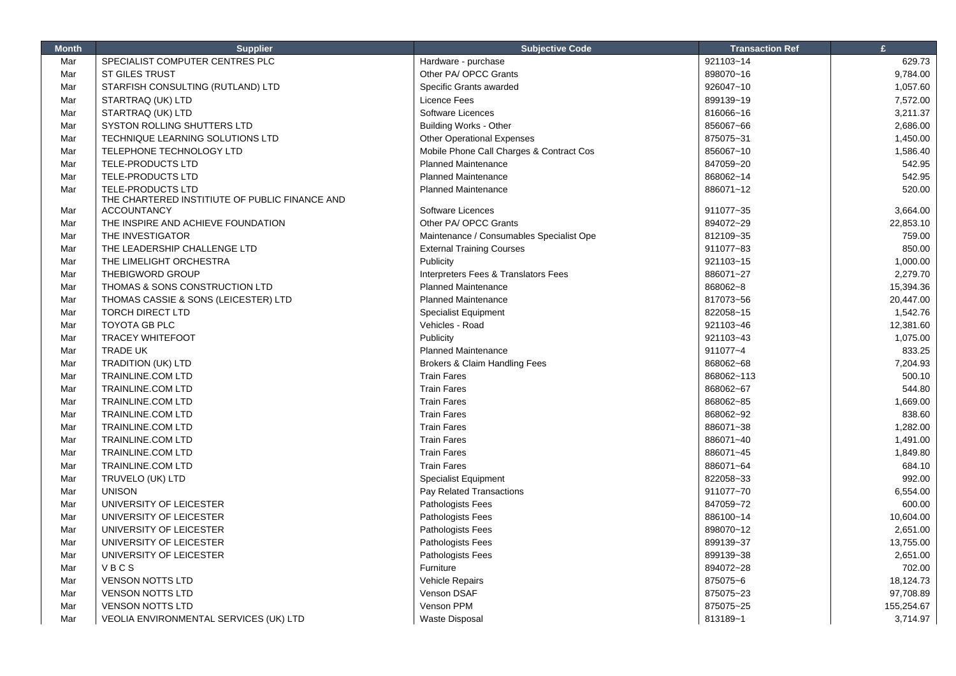| <b>Month</b> | <b>Supplier</b>                                | <b>Subjective Code</b>                   | <b>Transaction Ref</b> | $\mathbf{f}$ |
|--------------|------------------------------------------------|------------------------------------------|------------------------|--------------|
| Mar          | SPECIALIST COMPUTER CENTRES PLC                | Hardware - purchase                      | 921103~14              | 629.73       |
| Mar          | <b>ST GILES TRUST</b>                          | Other PA/ OPCC Grants                    | 898070~16              | 9,784.00     |
| Mar          | STARFISH CONSULTING (RUTLAND) LTD              | Specific Grants awarded                  | 926047~10              | 1,057.60     |
| Mar          | STARTRAQ (UK) LTD                              | Licence Fees                             | 899139~19              | 7,572.00     |
| Mar          | STARTRAQ (UK) LTD                              | Software Licences                        | 816066~16              | 3,211.37     |
| Mar          | SYSTON ROLLING SHUTTERS LTD                    | <b>Building Works - Other</b>            | 856067~66              | 2,686.00     |
| Mar          | TECHNIQUE LEARNING SOLUTIONS LTD               | <b>Other Operational Expenses</b>        | 875075~31              | 1,450.00     |
| Mar          | TELEPHONE TECHNOLOGY LTD                       | Mobile Phone Call Charges & Contract Cos | 856067~10              | 1,586.40     |
| Mar          | TELE-PRODUCTS LTD                              | <b>Planned Maintenance</b>               | 847059~20              | 542.95       |
| Mar          | TELE-PRODUCTS LTD                              | <b>Planned Maintenance</b>               | 868062~14              | 542.95       |
| Mar          | <b>TELE-PRODUCTS LTD</b>                       | <b>Planned Maintenance</b>               | 886071~12              | 520.00       |
|              | THE CHARTERED INSTITIUTE OF PUBLIC FINANCE AND |                                          |                        |              |
| Mar          | <b>ACCOUNTANCY</b>                             | Software Licences                        | 911077~35              | 3,664.00     |
| Mar          | THE INSPIRE AND ACHIEVE FOUNDATION             | Other PA/ OPCC Grants                    | 894072~29              | 22,853.10    |
| Mar          | THE INVESTIGATOR                               | Maintenance / Consumables Specialist Ope | 812109~35              | 759.00       |
| Mar          | THE LEADERSHIP CHALLENGE LTD                   | <b>External Training Courses</b>         | 911077~83              | 850.00       |
| Mar          | THE LIMELIGHT ORCHESTRA                        | Publicity                                | 921103~15              | 1,000.00     |
| Mar          | THEBIGWORD GROUP                               | Interpreters Fees & Translators Fees     | 886071~27              | 2,279.70     |
| Mar          | THOMAS & SONS CONSTRUCTION LTD                 | <b>Planned Maintenance</b>               | 868062~8               | 15,394.36    |
| Mar          | THOMAS CASSIE & SONS (LEICESTER) LTD           | <b>Planned Maintenance</b>               | 817073~56              | 20,447.00    |
| Mar          | <b>TORCH DIRECT LTD</b>                        | <b>Specialist Equipment</b>              | 822058~15              | 1,542.76     |
| Mar          | <b>TOYOTA GB PLC</b>                           | Vehicles - Road                          | 921103~46              | 12,381.60    |
| Mar          | <b>TRACEY WHITEFOOT</b>                        | Publicity                                | 921103~43              | 1,075.00     |
| Mar          | TRADE UK                                       | <b>Planned Maintenance</b>               | 911077~4               | 833.25       |
| Mar          | <b>TRADITION (UK) LTD</b>                      | Brokers & Claim Handling Fees            | 868062~68              | 7,204.93     |
| Mar          | TRAINLINE.COM LTD                              | <b>Train Fares</b>                       | 868062~113             | 500.10       |
| Mar          | <b>TRAINLINE.COM LTD</b>                       | <b>Train Fares</b>                       | 868062~67              | 544.80       |
| Mar          | <b>TRAINLINE.COM LTD</b>                       | <b>Train Fares</b>                       | 868062~85              | 1,669.00     |
| Mar          | <b>TRAINLINE.COM LTD</b>                       | <b>Train Fares</b>                       | 868062~92              | 838.60       |
| Mar          | <b>TRAINLINE.COM LTD</b>                       | <b>Train Fares</b>                       | 886071~38              | 1,282.00     |
| Mar          | <b>TRAINLINE.COM LTD</b>                       | <b>Train Fares</b>                       | 886071~40              | 1,491.00     |
| Mar          | <b>TRAINLINE.COM LTD</b>                       | <b>Train Fares</b>                       | 886071~45              | 1,849.80     |
| Mar          | <b>TRAINLINE.COM LTD</b>                       | <b>Train Fares</b>                       | 886071~64              | 684.10       |
| Mar          | TRUVELO (UK) LTD                               | <b>Specialist Equipment</b>              | 822058~33              | 992.00       |
| Mar          | <b>UNISON</b>                                  | Pay Related Transactions                 | 911077~70              | 6,554.00     |
| Mar          | UNIVERSITY OF LEICESTER                        | Pathologists Fees                        | 847059~72              | 600.00       |
| Mar          | UNIVERSITY OF LEICESTER                        | Pathologists Fees                        | 886100~14              | 10,604.00    |
| Mar          | UNIVERSITY OF LEICESTER                        | Pathologists Fees                        | 898070~12              | 2,651.00     |
| Mar          | UNIVERSITY OF LEICESTER                        | Pathologists Fees                        | 899139~37              | 13,755.00    |
| Mar          | UNIVERSITY OF LEICESTER                        | Pathologists Fees                        | 899139~38              | 2,651.00     |
| Mar          | VBCS                                           | Furniture                                | 894072~28              | 702.00       |
| Mar          | <b>VENSON NOTTS LTD</b>                        | Vehicle Repairs                          | 875075~6               | 18,124.73    |
| Mar          | <b>VENSON NOTTS LTD</b>                        | Venson DSAF                              | 875075~23              | 97,708.89    |
| Mar          | <b>VENSON NOTTS LTD</b>                        | Venson PPM                               | 875075~25              | 155,254.67   |
| Mar          | VEOLIA ENVIRONMENTAL SERVICES (UK) LTD         | <b>Waste Disposal</b>                    | 813189~1               | 3,714.97     |